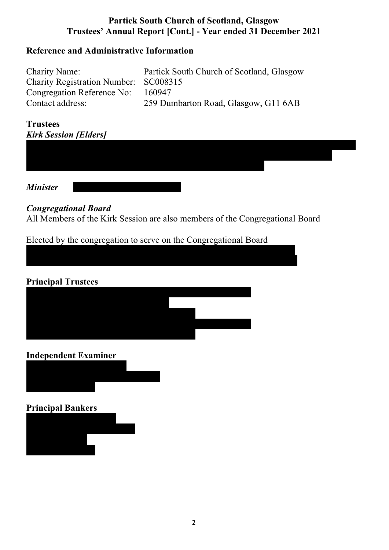### **Reference and Administrative Information**

| <b>Charity Name:</b>                  | Partick South Church of Scotland, Glasgow |
|---------------------------------------|-------------------------------------------|
| Charity Registration Number: SC008315 |                                           |
| Congregation Reference No:            | 160947                                    |
| Contact address:                      | 259 Dumbarton Road, Glasgow, G11 6AB      |

#### **Trustees** *Kirk Session [Elders]*

*Minister* 

#### *Congregational Board*

All Members of the Kirk Session are also members of the Congregational Board

Elected by the congregation to serve on the Congregational Board

May McIntyre [Keir Gorman deceased 24th July 2021]



#### **Independent Examiner**



#### **Principal Bankers**

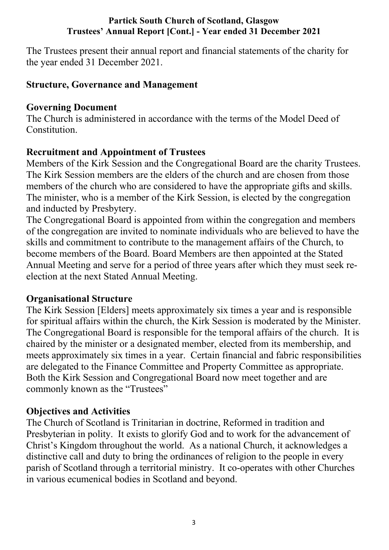The Trustees present their annual report and financial statements of the charity for the year ended 31 December 2021.

## **Structure, Governance and Management**

## **Governing Document**

The Church is administered in accordance with the terms of the Model Deed of Constitution.

# **Recruitment and Appointment of Trustees**

Members of the Kirk Session and the Congregational Board are the charity Trustees. The Kirk Session members are the elders of the church and are chosen from those members of the church who are considered to have the appropriate gifts and skills. The minister, who is a member of the Kirk Session, is elected by the congregation and inducted by Presbytery.

The Congregational Board is appointed from within the congregation and members of the congregation are invited to nominate individuals who are believed to have the skills and commitment to contribute to the management affairs of the Church, to become members of the Board. Board Members are then appointed at the Stated Annual Meeting and serve for a period of three years after which they must seek reelection at the next Stated Annual Meeting.

## **Organisational Structure**

The Kirk Session [Elders] meets approximately six times a year and is responsible for spiritual affairs within the church, the Kirk Session is moderated by the Minister. The Congregational Board is responsible for the temporal affairs of the church. It is chaired by the minister or a designated member, elected from its membership, and meets approximately six times in a year. Certain financial and fabric responsibilities are delegated to the Finance Committee and Property Committee as appropriate. Both the Kirk Session and Congregational Board now meet together and are commonly known as the "Trustees"

## **Objectives and Activities**

The Church of Scotland is Trinitarian in doctrine, Reformed in tradition and Presbyterian in polity. It exists to glorify God and to work for the advancement of Christ's Kingdom throughout the world. As a national Church, it acknowledges a distinctive call and duty to bring the ordinances of religion to the people in every parish of Scotland through a territorial ministry. It co-operates with other Churches in various ecumenical bodies in Scotland and beyond.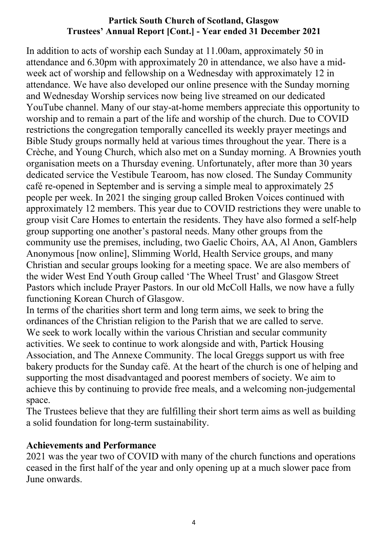In addition to acts of worship each Sunday at 11.00am, approximately 50 in attendance and 6.30pm with approximately 20 in attendance, we also have a midweek act of worship and fellowship on a Wednesday with approximately 12 in attendance. We have also developed our online presence with the Sunday morning and Wednesday Worship services now being live streamed on our dedicated YouTube channel. Many of our stay-at-home members appreciate this opportunity to worship and to remain a part of the life and worship of the church. Due to COVID restrictions the congregation temporally cancelled its weekly prayer meetings and Bible Study groups normally held at various times throughout the year. There is a Crèche, and Young Church, which also met on a Sunday morning. A Brownies youth organisation meets on a Thursday evening. Unfortunately, after more than 30 years dedicated service the Vestibule Tearoom, has now closed. The Sunday Community café re-opened in September and is serving a simple meal to approximately 25 people per week. In 2021 the singing group called Broken Voices continued with approximately 12 members. This year due to COVID restrictions they were unable to group visit Care Homes to entertain the residents. They have also formed a self-help group supporting one another's pastoral needs. Many other groups from the community use the premises, including, two Gaelic Choirs, AA, Al Anon, Gamblers Anonymous [now online], Slimming World, Health Service groups, and many Christian and secular groups looking for a meeting space. We are also members of the wider West End Youth Group called 'The Wheel Trust' and Glasgow Street Pastors which include Prayer Pastors. In our old McColl Halls, we now have a fully functioning Korean Church of Glasgow.

In terms of the charities short term and long term aims, we seek to bring the ordinances of the Christian religion to the Parish that we are called to serve. We seek to work locally within the various Christian and secular community activities. We seek to continue to work alongside and with, Partick Housing Association, and The Annexe Community. The local Greggs support us with free bakery products for the Sunday café. At the heart of the church is one of helping and supporting the most disadvantaged and poorest members of society. We aim to achieve this by continuing to provide free meals, and a welcoming non-judgemental space.

The Trustees believe that they are fulfilling their short term aims as well as building a solid foundation for long-term sustainability.

### **Achievements and Performance**

2021 was the year two of COVID with many of the church functions and operations ceased in the first half of the year and only opening up at a much slower pace from June onwards.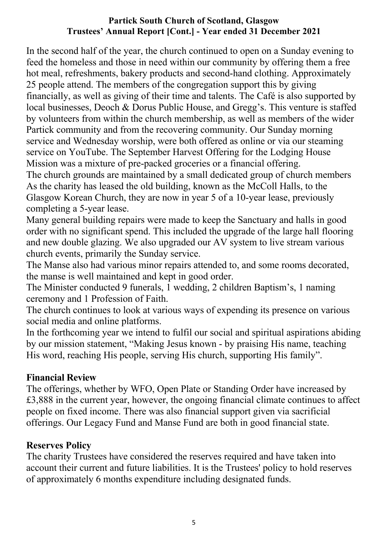In the second half of the year, the church continued to open on a Sunday evening to feed the homeless and those in need within our community by offering them a free hot meal, refreshments, bakery products and second-hand clothing. Approximately 25 people attend. The members of the congregation support this by giving financially, as well as giving of their time and talents. The Café is also supported by local businesses, Deoch & Dorus Public House, and Gregg's. This venture is staffed by volunteers from within the church membership, as well as members of the wider Partick community and from the recovering community. Our Sunday morning service and Wednesday worship, were both offered as online or via our steaming service on YouTube. The September Harvest Offering for the Lodging House Mission was a mixture of pre-packed groceries or a financial offering. The church grounds are maintained by a small dedicated group of church members As the charity has leased the old building, known as the McColl Halls, to the Glasgow Korean Church, they are now in year 5 of a 10-year lease, previously completing a 5-year lease.

Many general building repairs were made to keep the Sanctuary and halls in good order with no significant spend. This included the upgrade of the large hall flooring and new double glazing. We also upgraded our AV system to live stream various church events, primarily the Sunday service.

The Manse also had various minor repairs attended to, and some rooms decorated, the manse is well maintained and kept in good order.

The Minister conducted 9 funerals, 1 wedding, 2 children Baptism's, 1 naming ceremony and 1 Profession of Faith.

The church continues to look at various ways of expending its presence on various social media and online platforms.

In the forthcoming year we intend to fulfil our social and spiritual aspirations abiding by our mission statement, "Making Jesus known - by praising His name, teaching His word, reaching His people, serving His church, supporting His family".

## **Financial Review**

The offerings, whether by WFO, Open Plate or Standing Order have increased by £3,888 in the current year, however, the ongoing financial climate continues to affect people on fixed income. There was also financial support given via sacrificial offerings. Our Legacy Fund and Manse Fund are both in good financial state.

### **Reserves Policy**

The charity Trustees have considered the reserves required and have taken into account their current and future liabilities. It is the Trustees' policy to hold reserves of approximately 6 months expenditure including designated funds.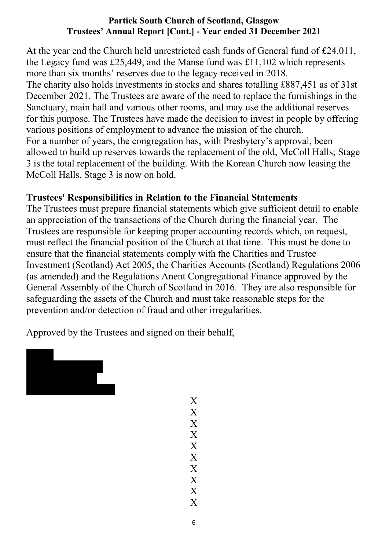At the year end the Church held unrestricted cash funds of General fund of £24,011, the Legacy fund was £25,449, and the Manse fund was £11,102 which represents more than six months' reserves due to the legacy received in 2018. The charity also holds investments in stocks and shares totalling £887,451 as of 31st December 2021. The Trustees are aware of the need to replace the furnishings in the Sanctuary, main hall and various other rooms, and may use the additional reserves for this purpose. The Trustees have made the decision to invest in people by offering various positions of employment to advance the mission of the church. For a number of years, the congregation has, with Presbytery's approval, been allowed to build up reserves towards the replacement of the old, McColl Halls; Stage 3 is the total replacement of the building. With the Korean Church now leasing the McColl Halls, Stage 3 is now on hold.

## **Trustees' Responsibilities in Relation to the Financial Statements**

The Trustees must prepare financial statements which give sufficient detail to enable an appreciation of the transactions of the Church during the financial year. The Trustees are responsible for keeping proper accounting records which, on request, must reflect the financial position of the Church at that time. This must be done to ensure that the financial statements comply with the Charities and Trustee Investment (Scotland) Act 2005, the Charities Accounts (Scotland) Regulations 2006 (as amended) and the Regulations Anent Congregational Finance approved by the General Assembly of the Church of Scotland in 2016. They are also responsible for safeguarding the assets of the Church and must take reasonable steps for the prevention and/or detection of fraud and other irregularities.

Approved by the Trustees and signed on their behalf,



X X X X X X X X X X